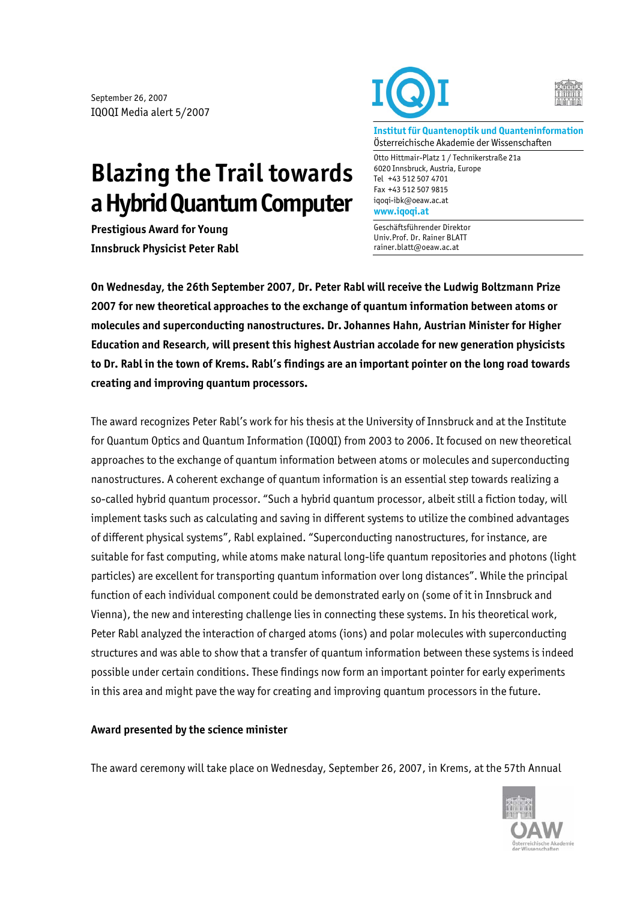September 26, 2007 IQOQI Media alert 5/2007

## **Blazing the Trail towards a Hybrid Quantum Computer**

**Prestigious Award for Young Innsbruck Physicist Peter Rabl** 





**Institut für Quantenoptik und Quanteninformation**  Österreichische Akademie der Wissenschaften

Otto Hittmair-Platz 1 / Technikerstraße 21a 6020 Innsbruck, Austria, Europe Tel +43 512 507 4701 Fax +43 512 507 9815 iqoqi-ibk@oeaw.ac.at **www.iqoqi.at** 

Geschäftsführender Direktor Univ.Prof. Dr. Rainer BLATT rainer.blatt@oeaw.ac.at

**On Wednesday, the 26th September 2007, Dr. Peter Rabl will receive the Ludwig Boltzmann Prize 2007 for new theoretical approaches to the exchange of quantum information between atoms or molecules and superconducting nanostructures. Dr. Johannes Hahn, Austrian Minister for Higher Education and Research, will present this highest Austrian accolade for new generation physicists to Dr. Rabl in the town of Krems. Rabl's findings are an important pointer on the long road towards creating and improving quantum processors.** 

The award recognizes Peter Rabl's work for his thesis at the University of Innsbruck and at the Institute for Quantum Optics and Quantum Information (IQOQI) from 2003 to 2006. It focused on new theoretical approaches to the exchange of quantum information between atoms or molecules and superconducting nanostructures. A coherent exchange of quantum information is an essential step towards realizing a so-called hybrid quantum processor. "Such a hybrid quantum processor, albeit still a fiction today, will implement tasks such as calculating and saving in different systems to utilize the combined advantages of different physical systems", Rabl explained. "Superconducting nanostructures, for instance, are suitable for fast computing, while atoms make natural long-life quantum repositories and photons (light particles) are excellent for transporting quantum information over long distances". While the principal function of each individual component could be demonstrated early on (some of it in Innsbruck and Vienna), the new and interesting challenge lies in connecting these systems. In his theoretical work, Peter Rabl analyzed the interaction of charged atoms (ions) and polar molecules with superconducting structures and was able to show that a transfer of quantum information between these systems is indeed possible under certain conditions. These findings now form an important pointer for early experiments in this area and might pave the way for creating and improving quantum processors in the future.

## **Award presented by the science minister**

The award ceremony will take place on Wednesday, September 26, 2007, in Krems, at the 57th Annual

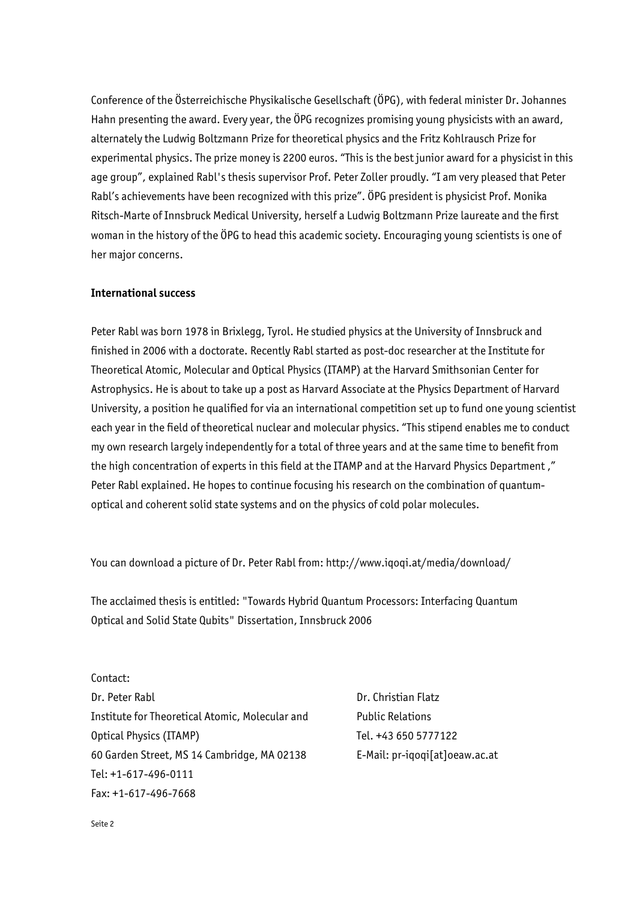Conference of the Österreichische Physikalische Gesellschaft (ÖPG), with federal minister Dr. Johannes Hahn presenting the award. Every year, the ÖPG recognizes promising young physicists with an award, alternately the Ludwig Boltzmann Prize for theoretical physics and the Fritz Kohlrausch Prize for experimental physics. The prize money is 2200 euros. "This is the best junior award for a physicist in this age group", explained Rabl's thesis supervisor Prof. Peter Zoller proudly. "I am very pleased that Peter Rabl's achievements have been recognized with this prize". ÖPG president is physicist Prof. Monika Ritsch-Marte of Innsbruck Medical University, herself a Ludwig Boltzmann Prize laureate and the first woman in the history of the ÖPG to head this academic society. Encouraging young scientists is one of her major concerns.

## **International success**

Peter Rabl was born 1978 in Brixlegg, Tyrol. He studied physics at the University of Innsbruck and finished in 2006 with a doctorate. Recently Rabl started as post-doc researcher at the Institute for Theoretical Atomic, Molecular and Optical Physics (ITAMP) at the Harvard Smithsonian Center for Astrophysics. He is about to take up a post as Harvard Associate at the Physics Department of Harvard University, a position he qualified for via an international competition set up to fund one young scientist each year in the field of theoretical nuclear and molecular physics. "This stipend enables me to conduct my own research largely independently for a total of three years and at the same time to benefit from the high concentration of experts in this field at the ITAMP and at the Harvard Physics Department ," Peter Rabl explained. He hopes to continue focusing his research on the combination of quantumoptical and coherent solid state systems and on the physics of cold polar molecules.

You can download a picture of Dr. Peter Rabl from: http://www.iqoqi.at/media/download/

The acclaimed thesis is entitled: "Towards Hybrid Quantum Processors: Interfacing Quantum Optical and Solid State Qubits" Dissertation, Innsbruck 2006

Contact: Dr. Peter Rabl Institute for Theoretical Atomic, Molecular and Optical Physics (ITAMP) 60 Garden Street, MS 14 Cambridge, MA 02138 Tel: +1-617-496-0111 Fax: +1-617-496-7668

Dr. Christian Flatz Public Relations Tel. +43 650 5777122 E-Mail: pr-iqoqi[at]oeaw.ac.at